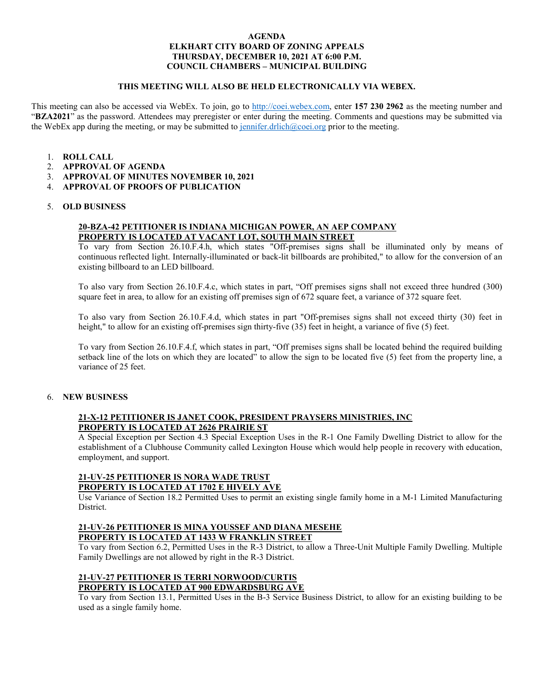#### **AGENDA ELKHART CITY BOARD OF ZONING APPEALS THURSDAY, DECEMBER 10, 2021 AT 6:00 P.M. COUNCIL CHAMBERS – MUNICIPAL BUILDING**

### **THIS MEETING WILL ALSO BE HELD ELECTRONICALLY VIA WEBEX.**

This meeting can also be accessed via WebEx. To join, go to [http://coei.webex.com,](http://coei.webex.com/) enter **157 230 2962** as the meeting number and "**BZA2021**" as the password. Attendees may preregister or enter during the meeting. Comments and questions may be submitted via the WebEx app during the meeting, or may be submitted to [jennifer.drlich@coei.org](mailto:jennifer.drlich@coei.org) prior to the meeting.

- 1. **ROLL CALL**
- 2. **APPROVAL OF AGENDA**
- 3. **APPROVAL OF MINUTES NOVEMBER 10, 2021**
- 4. **APPROVAL OF PROOFS OF PUBLICATION**

### 5. **OLD BUSINESS**

### **20-BZA-42 PETITIONER IS INDIANA MICHIGAN POWER, AN AEP COMPANY PROPERTY IS LOCATED AT VACANT LOT, SOUTH MAIN STREET**

To vary from Section 26.10.F.4.h, which states "Off-premises signs shall be illuminated only by means of continuous reflected light. Internally-illuminated or back-lit billboards are prohibited," to allow for the conversion of an existing billboard to an LED billboard.

To also vary from Section 26.10.F.4.c, which states in part, "Off premises signs shall not exceed three hundred (300) square feet in area, to allow for an existing off premises sign of 672 square feet, a variance of 372 square feet.

To also vary from Section 26.10.F.4.d, which states in part "Off-premises signs shall not exceed thirty (30) feet in height," to allow for an existing off-premises sign thirty-five  $(35)$  feet in height, a variance of five  $(5)$  feet.

To vary from Section 26.10.F.4.f, which states in part, "Off premises signs shall be located behind the required building setback line of the lots on which they are located" to allow the sign to be located five (5) feet from the property line, a variance of 25 feet.

### 6. **NEW BUSINESS**

# **21-X-12 PETITIONER IS JANET COOK, PRESIDENT PRAYSERS MINISTRIES, INC PROPERTY IS LOCATED AT 2626 PRAIRIE ST**

A Special Exception per Section 4.3 Special Exception Uses in the R-1 One Family Dwelling District to allow for the establishment of a Clubhouse Community called Lexington House which would help people in recovery with education, employment, and support.

#### **21-UV-25 PETITIONER IS NORA WADE TRUST PROPERTY IS LOCATED AT 1702 E HIVELY AVE**

Use Variance of Section 18.2 Permitted Uses to permit an existing single family home in a M-1 Limited Manufacturing District.

#### **21-UV-26 PETITIONER IS MINA YOUSSEF AND DIANA MESEHE PROPERTY IS LOCATED AT 1433 W FRANKLIN STREET**

To vary from Section 6.2, Permitted Uses in the R-3 District, to allow a Three-Unit Multiple Family Dwelling. Multiple Family Dwellings are not allowed by right in the R-3 District.

## **21-UV-27 PETITIONER IS TERRI NORWOOD/CURTIS PROPERTY IS LOCATED AT 900 EDWARDSBURG AVE**

To vary from Section 13.1, Permitted Uses in the B-3 Service Business District, to allow for an existing building to be used as a single family home.